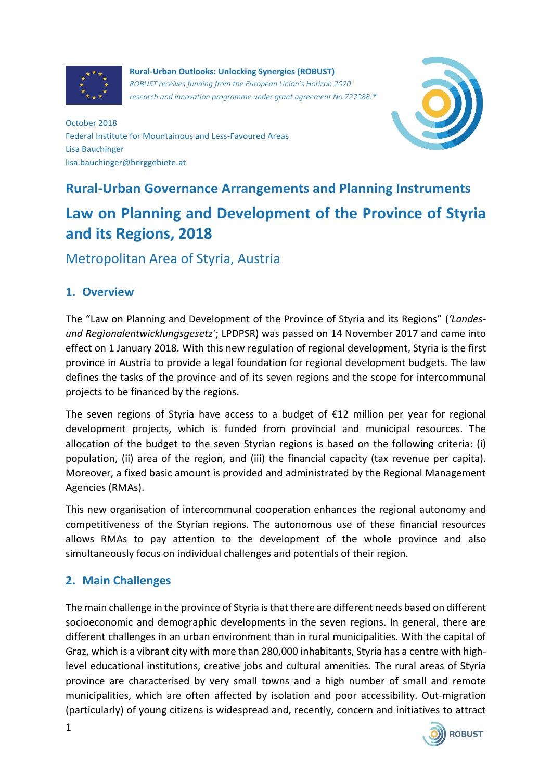

**Rural-Urban Outlooks: Unlocking Synergies (ROBUST)** *ROBUST receives funding from the European Union's Horizon 2020 research and innovation programme under grant agreement No 727988.\**



October 2018 Federal Institute for Mountainous and Less-Favoured Areas Lisa Bauchinger lisa.bauchinger@berggebiete.at

# **Rural-Urban Governance Arrangements and Planning Instruments Law on Planning and Development of the Province of Styria and its Regions, 2018**

Metropolitan Area of Styria, Austria

### **1. Overview**

The "Law on Planning and Development of the Province of Styria and its Regions" (*'Landesund Regionalentwicklungsgesetz'*; LPDPSR) was passed on 14 November 2017 and came into effect on 1 January 2018. With this new regulation of regional development, Styria is the first province in Austria to provide a legal foundation for regional development budgets. The law defines the tasks of the province and of its seven regions and the scope for intercommunal projects to be financed by the regions.

The seven regions of Styria have access to a budget of  $£12$  million per year for regional development projects, which is funded from provincial and municipal resources. The allocation of the budget to the seven Styrian regions is based on the following criteria: (i) population, (ii) area of the region, and (iii) the financial capacity (tax revenue per capita). Moreover, a fixed basic amount is provided and administrated by the Regional Management Agencies (RMAs).

This new organisation of intercommunal cooperation enhances the regional autonomy and competitiveness of the Styrian regions. The autonomous use of these financial resources allows RMAs to pay attention to the development of the whole province and also simultaneously focus on individual challenges and potentials of their region.

# **2. Main Challenges**

The main challenge in the province of Styria is that there are different needs based on different socioeconomic and demographic developments in the seven regions. In general, there are different challenges in an urban environment than in rural municipalities. With the capital of Graz, which is a vibrant city with more than 280,000 inhabitants, Styria has a centre with highlevel educational institutions, creative jobs and cultural amenities. The rural areas of Styria province are characterised by very small towns and a high number of small and remote municipalities, which are often affected by isolation and poor accessibility. Out-migration (particularly) of young citizens is widespread and, recently, concern and initiatives to attract

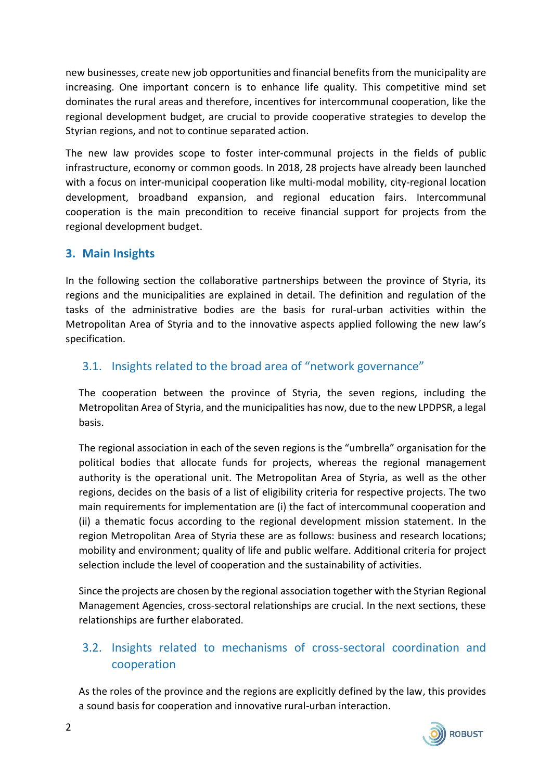new businesses, create new job opportunities and financial benefits from the municipality are increasing. One important concern is to enhance life quality. This competitive mind set dominates the rural areas and therefore, incentives for intercommunal cooperation, like the regional development budget, are crucial to provide cooperative strategies to develop the Styrian regions, and not to continue separated action.

The new law provides scope to foster inter-communal projects in the fields of public infrastructure, economy or common goods. In 2018, 28 projects have already been launched with a focus on inter-municipal cooperation like multi-modal mobility, city-regional location development, broadband expansion, and regional education fairs. Intercommunal cooperation is the main precondition to receive financial support for projects from the regional development budget.

#### **3. Main Insights**

In the following section the collaborative partnerships between the province of Styria, its regions and the municipalities are explained in detail. The definition and regulation of the tasks of the administrative bodies are the basis for rural-urban activities within the Metropolitan Area of Styria and to the innovative aspects applied following the new law's specification.

#### 3.1. Insights related to the broad area of "network governance"

The cooperation between the province of Styria, the seven regions, including the Metropolitan Area of Styria, and the municipalities has now, due to the new LPDPSR, a legal basis.

The regional association in each of the seven regions is the "umbrella" organisation for the political bodies that allocate funds for projects, whereas the regional management authority is the operational unit. The Metropolitan Area of Styria, as well as the other regions, decides on the basis of a list of eligibility criteria for respective projects. The two main requirements for implementation are (i) the fact of intercommunal cooperation and (ii) a thematic focus according to the regional development mission statement. In the region Metropolitan Area of Styria these are as follows: business and research locations; mobility and environment; quality of life and public welfare. Additional criteria for project selection include the level of cooperation and the sustainability of activities.

Since the projects are chosen by the regional association together with the Styrian Regional Management Agencies, cross-sectoral relationships are crucial. In the next sections, these relationships are further elaborated.

# 3.2. Insights related to mechanisms of cross-sectoral coordination and cooperation

As the roles of the province and the regions are explicitly defined by the law, this provides a sound basis for cooperation and innovative rural-urban interaction.

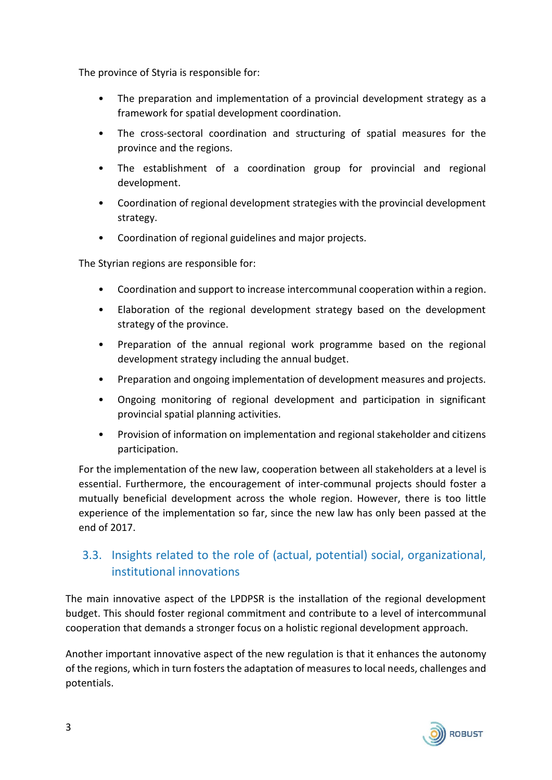The province of Styria is responsible for:

- The preparation and implementation of a provincial development strategy as a framework for spatial development coordination.
- The cross-sectoral coordination and structuring of spatial measures for the province and the regions.
- The establishment of a coordination group for provincial and regional development.
- Coordination of regional development strategies with the provincial development strategy.
- Coordination of regional guidelines and major projects.

The Styrian regions are responsible for:

- Coordination and support to increase intercommunal cooperation within a region.
- Elaboration of the regional development strategy based on the development strategy of the province.
- Preparation of the annual regional work programme based on the regional development strategy including the annual budget.
- Preparation and ongoing implementation of development measures and projects.
- Ongoing monitoring of regional development and participation in significant provincial spatial planning activities.
- Provision of information on implementation and regional stakeholder and citizens participation.

For the implementation of the new law, cooperation between all stakeholders at a level is essential. Furthermore, the encouragement of inter-communal projects should foster a mutually beneficial development across the whole region. However, there is too little experience of the implementation so far, since the new law has only been passed at the end of 2017.

# 3.3. Insights related to the role of (actual, potential) social, organizational, institutional innovations

The main innovative aspect of the LPDPSR is the installation of the regional development budget. This should foster regional commitment and contribute to a level of intercommunal cooperation that demands a stronger focus on a holistic regional development approach.

Another important innovative aspect of the new regulation is that it enhances the autonomy of the regions, which in turn fosters the adaptation of measures to local needs, challenges and potentials.

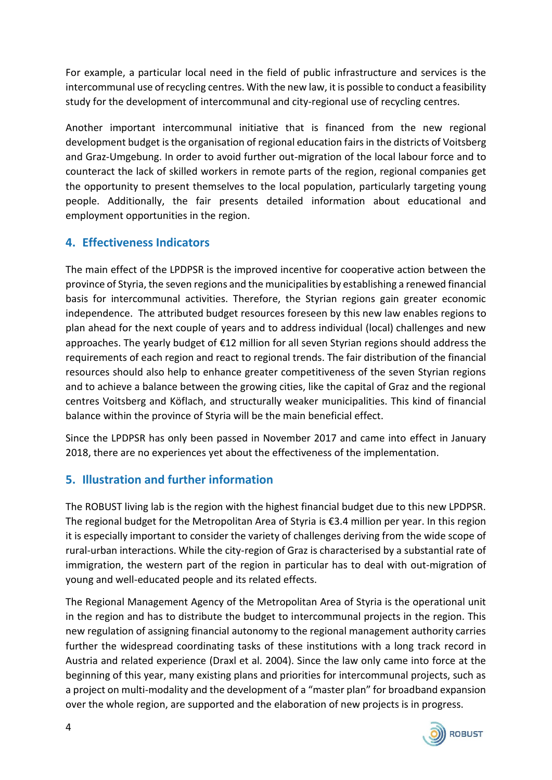For example, a particular local need in the field of public infrastructure and services is the intercommunal use of recycling centres. With the new law, it is possible to conduct a feasibility study for the development of intercommunal and city-regional use of recycling centres.

Another important intercommunal initiative that is financed from the new regional development budget is the organisation of regional education fairs in the districts of Voitsberg and Graz-Umgebung. In order to avoid further out-migration of the local labour force and to counteract the lack of skilled workers in remote parts of the region, regional companies get the opportunity to present themselves to the local population, particularly targeting young people. Additionally, the fair presents detailed information about educational and employment opportunities in the region.

#### **4. Effectiveness Indicators**

The main effect of the LPDPSR is the improved incentive for cooperative action between the province of Styria, the seven regions and the municipalities by establishing a renewed financial basis for intercommunal activities. Therefore, the Styrian regions gain greater economic independence. The attributed budget resources foreseen by this new law enables regions to plan ahead for the next couple of years and to address individual (local) challenges and new approaches. The yearly budget of €12 million for all seven Styrian regions should address the requirements of each region and react to regional trends. The fair distribution of the financial resources should also help to enhance greater competitiveness of the seven Styrian regions and to achieve a balance between the growing cities, like the capital of Graz and the regional centres Voitsberg and Köflach, and structurally weaker municipalities. This kind of financial balance within the province of Styria will be the main beneficial effect.

Since the LPDPSR has only been passed in November 2017 and came into effect in January 2018, there are no experiences yet about the effectiveness of the implementation.

### **5. Illustration and further information**

The ROBUST living lab is the region with the highest financial budget due to this new LPDPSR. The regional budget for the Metropolitan Area of Styria is €3.4 million per year. In this region it is especially important to consider the variety of challenges deriving from the wide scope of rural-urban interactions. While the city-region of Graz is characterised by a substantial rate of immigration, the western part of the region in particular has to deal with out-migration of young and well-educated people and its related effects.

The Regional Management Agency of the Metropolitan Area of Styria is the operational unit in the region and has to distribute the budget to intercommunal projects in the region. This new regulation of assigning financial autonomy to the regional management authority carries further the widespread coordinating tasks of these institutions with a long track record in Austria and related experience (Draxl et al. 2004). Since the law only came into force at the beginning of this year, many existing plans and priorities for intercommunal projects, such as a project on multi-modality and the development of a "master plan" for broadband expansion over the whole region, are supported and the elaboration of new projects is in progress.